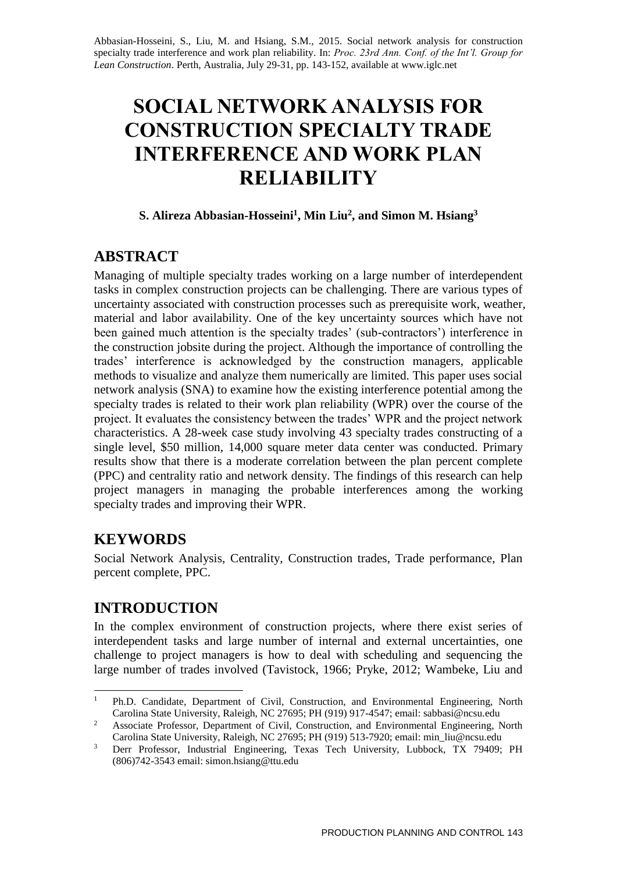Abbasian-Hosseini, S., Liu, M. and Hsiang, S.M., 2015. Social network analysis for construction specialty trade interference and work plan reliability. In: *Proc. 23rd Ann. Conf. of the Int'l. Group for Lean Construction*. Perth, Australia, July 29-31, pp. 143-152, available at www.iglc.net

# **SOCIAL NETWORK ANALYSIS FOR CONSTRUCTION SPECIALTY TRADE INTERFERENCE AND WORK PLAN RELIABILITY**

## **S. Alireza Abbasian-Hosseini<sup>1</sup> , Min Liu<sup>2</sup> , and Simon M. Hsiang<sup>3</sup>**

# **ABSTRACT**

Managing of multiple specialty trades working on a large number of interdependent tasks in complex construction projects can be challenging. There are various types of uncertainty associated with construction processes such as prerequisite work, weather, material and labor availability. One of the key uncertainty sources which have not been gained much attention is the specialty trades' (sub-contractors') interference in the construction jobsite during the project. Although the importance of controlling the trades' interference is acknowledged by the construction managers, applicable methods to visualize and analyze them numerically are limited. This paper uses social network analysis (SNA) to examine how the existing interference potential among the specialty trades is related to their work plan reliability (WPR) over the course of the project. It evaluates the consistency between the trades' WPR and the project network characteristics. A 28-week case study involving 43 specialty trades constructing of a single level, \$50 million, 14,000 square meter data center was conducted. Primary results show that there is a moderate correlation between the plan percent complete (PPC) and centrality ratio and network density. The findings of this research can help project managers in managing the probable interferences among the working specialty trades and improving their WPR.

# **KEYWORDS**

Social Network Analysis, Centrality, Construction trades, Trade performance, Plan percent complete, PPC.

# **INTRODUCTION**

In the complex environment of construction projects, where there exist series of interdependent tasks and large number of internal and external uncertainties, one challenge to project managers is how to deal with scheduling and sequencing the large number of trades involved (Tavistock, 1966; Pryke, 2012; Wambeke, Liu and

<sup>1</sup> Ph.D. Candidate, Department of Civil, Construction, and Environmental Engineering, North Carolina State University, Raleigh, NC 27695; PH (919) 917-4547; email: sabbasi@ncsu.edu

<sup>&</sup>lt;sup>2</sup> Associate Professor, Department of Civil, Construction, and Environmental Engineering, North Carolina State University, Raleigh, NC 27695; PH (919) 513-7920; email: min\_liu@ncsu.edu

<sup>&</sup>lt;sup>3</sup> Derr Professor, Industrial Engineering, Texas Tech University, Lubbock, TX 79409; PH (806)742-3543 email: simon.hsiang@ttu.edu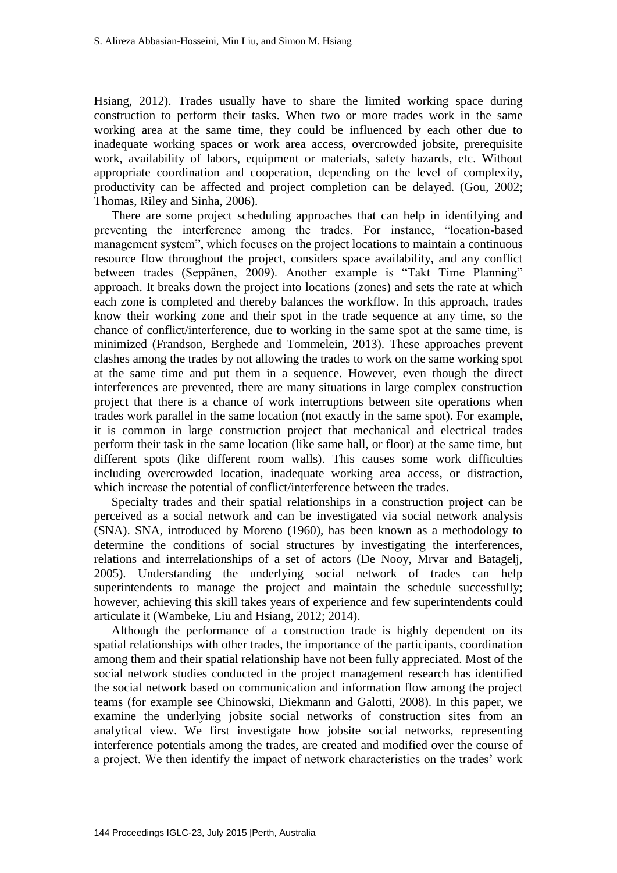Hsiang, 2012). Trades usually have to share the limited working space during construction to perform their tasks. When two or more trades work in the same working area at the same time, they could be influenced by each other due to inadequate working spaces or work area access, overcrowded jobsite, prerequisite work, availability of labors, equipment or materials, safety hazards, etc. Without appropriate coordination and cooperation, depending on the level of complexity, productivity can be affected and project completion can be delayed. (Gou, 2002; Thomas, Riley and Sinha, 2006).

There are some project scheduling approaches that can help in identifying and preventing the interference among the trades. For instance, "location-based management system", which focuses on the project locations to maintain a continuous resource flow throughout the project, considers space availability, and any conflict between trades (Seppänen, 2009). Another example is "Takt Time Planning" approach. It breaks down the project into locations (zones) and sets the rate at which each zone is completed and thereby balances the workflow. In this approach, trades know their working zone and their spot in the trade sequence at any time, so the chance of conflict/interference, due to working in the same spot at the same time, is minimized (Frandson, Berghede and Tommelein, 2013). These approaches prevent clashes among the trades by not allowing the trades to work on the same working spot at the same time and put them in a sequence. However, even though the direct interferences are prevented, there are many situations in large complex construction project that there is a chance of work interruptions between site operations when trades work parallel in the same location (not exactly in the same spot). For example, it is common in large construction project that mechanical and electrical trades perform their task in the same location (like same hall, or floor) at the same time, but different spots (like different room walls). This causes some work difficulties including overcrowded location, inadequate working area access, or distraction, which increase the potential of conflict/interference between the trades.

Specialty trades and their spatial relationships in a construction project can be perceived as a social network and can be investigated via social network analysis (SNA). SNA, introduced by Moreno (1960), has been known as a methodology to determine the conditions of social structures by investigating the interferences, relations and interrelationships of a set of actors (De Nooy, Mrvar and Batagelj, 2005). Understanding the underlying social network of trades can help superintendents to manage the project and maintain the schedule successfully; however, achieving this skill takes years of experience and few superintendents could articulate it (Wambeke, Liu and Hsiang, 2012; 2014).

Although the performance of a construction trade is highly dependent on its spatial relationships with other trades, the importance of the participants, coordination among them and their spatial relationship have not been fully appreciated. Most of the social network studies conducted in the project management research has identified the social network based on communication and information flow among the project teams (for example see Chinowski, Diekmann and Galotti, 2008). In this paper, we examine the underlying jobsite social networks of construction sites from an analytical view. We first investigate how jobsite social networks, representing interference potentials among the trades, are created and modified over the course of a project. We then identify the impact of network characteristics on the trades' work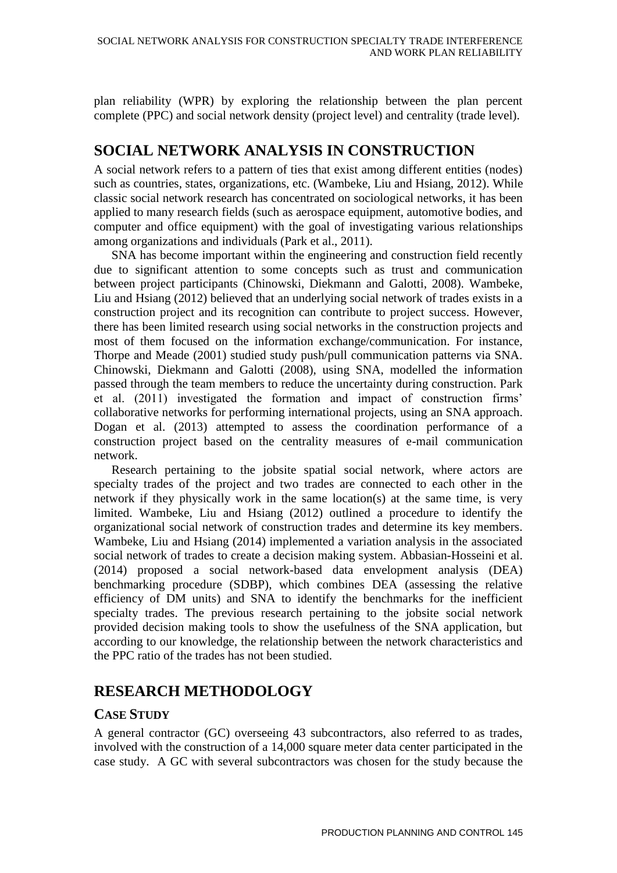plan reliability (WPR) by exploring the relationship between the plan percent complete (PPC) and social network density (project level) and centrality (trade level).

# **SOCIAL NETWORK ANALYSIS IN CONSTRUCTION**

A social network refers to a pattern of ties that exist among different entities (nodes) such as countries, states, organizations, etc. (Wambeke, Liu and Hsiang, 2012). While classic social network research has concentrated on sociological networks, it has been applied to many research fields (such as aerospace equipment, automotive bodies, and computer and office equipment) with the goal of investigating various relationships among organizations and individuals (Park et al., 2011).

SNA has become important within the engineering and construction field recently due to significant attention to some concepts such as trust and communication between project participants (Chinowski, Diekmann and Galotti, 2008). Wambeke, Liu and Hsiang (2012) believed that an underlying social network of trades exists in a construction project and its recognition can contribute to project success. However, there has been limited research using social networks in the construction projects and most of them focused on the information exchange/communication. For instance, Thorpe and Meade (2001) studied study push/pull communication patterns via SNA. Chinowski, Diekmann and Galotti (2008), using SNA, modelled the information passed through the team members to reduce the uncertainty during construction. Park et al. (2011) investigated the formation and impact of construction firms' collaborative networks for performing international projects, using an SNA approach. Dogan et al. (2013) attempted to assess the coordination performance of a construction project based on the centrality measures of e-mail communication network.

Research pertaining to the jobsite spatial social network, where actors are specialty trades of the project and two trades are connected to each other in the network if they physically work in the same location(s) at the same time, is very limited. Wambeke, Liu and Hsiang (2012) outlined a procedure to identify the organizational social network of construction trades and determine its key members. Wambeke, Liu and Hsiang (2014) implemented a variation analysis in the associated social network of trades to create a decision making system. Abbasian-Hosseini et al. (2014) proposed a social network-based data envelopment analysis (DEA) benchmarking procedure (SDBP), which combines DEA (assessing the relative efficiency of DM units) and SNA to identify the benchmarks for the inefficient specialty trades. The previous research pertaining to the jobsite social network provided decision making tools to show the usefulness of the SNA application, but according to our knowledge, the relationship between the network characteristics and the PPC ratio of the trades has not been studied.

# **RESEARCH METHODOLOGY**

### **CASE STUDY**

A general contractor (GC) overseeing 43 subcontractors, also referred to as trades, involved with the construction of a 14,000 square meter data center participated in the case study. A GC with several subcontractors was chosen for the study because the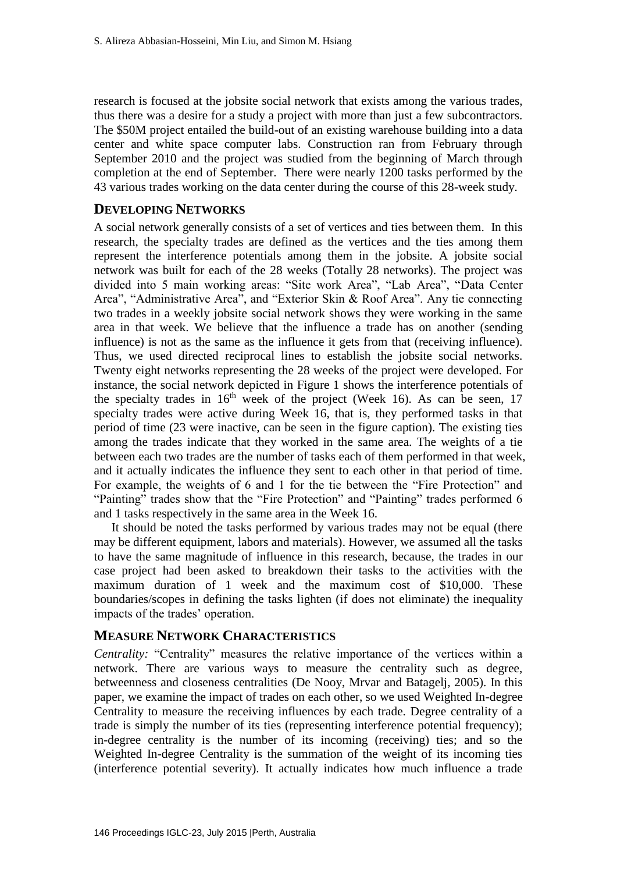research is focused at the jobsite social network that exists among the various trades, thus there was a desire for a study a project with more than just a few subcontractors. The \$50M project entailed the build-out of an existing warehouse building into a data center and white space computer labs. Construction ran from February through September 2010 and the project was studied from the beginning of March through completion at the end of September. There were nearly 1200 tasks performed by the 43 various trades working on the data center during the course of this 28-week study.

#### **DEVELOPING NETWORKS**

A social network generally consists of a set of vertices and ties between them. In this research, the specialty trades are defined as the vertices and the ties among them represent the interference potentials among them in the jobsite. A jobsite social network was built for each of the 28 weeks (Totally 28 networks). The project was divided into 5 main working areas: "Site work Area", "Lab Area", "Data Center Area", "Administrative Area", and "Exterior Skin & Roof Area". Any tie connecting two trades in a weekly jobsite social network shows they were working in the same area in that week. We believe that the influence a trade has on another (sending influence) is not as the same as the influence it gets from that (receiving influence). Thus, we used directed reciprocal lines to establish the jobsite social networks. Twenty eight networks representing the 28 weeks of the project were developed. For instance, the social network depicted in Figure 1 shows the interference potentials of the specialty trades in  $16<sup>th</sup>$  week of the project (Week 16). As can be seen, 17 specialty trades were active during Week 16, that is, they performed tasks in that period of time (23 were inactive, can be seen in the figure caption). The existing ties among the trades indicate that they worked in the same area. The weights of a tie between each two trades are the number of tasks each of them performed in that week, and it actually indicates the influence they sent to each other in that period of time. For example, the weights of 6 and 1 for the tie between the "Fire Protection" and "Painting" trades show that the "Fire Protection" and "Painting" trades performed 6 and 1 tasks respectively in the same area in the Week 16.

It should be noted the tasks performed by various trades may not be equal (there may be different equipment, labors and materials). However, we assumed all the tasks to have the same magnitude of influence in this research, because, the trades in our case project had been asked to breakdown their tasks to the activities with the maximum duration of 1 week and the maximum cost of \$10,000. These boundaries/scopes in defining the tasks lighten (if does not eliminate) the inequality impacts of the trades' operation.

#### **MEASURE NETWORK CHARACTERISTICS**

*Centrality:* "Centrality" measures the relative importance of the vertices within a network. There are various ways to measure the centrality such as degree, betweenness and closeness centralities (De Nooy, Mrvar and Batagelj, 2005). In this paper, we examine the impact of trades on each other, so we used Weighted In-degree Centrality to measure the receiving influences by each trade. Degree centrality of a trade is simply the number of its ties (representing interference potential frequency); in-degree centrality is the number of its incoming (receiving) ties; and so the Weighted In-degree Centrality is the summation of the weight of its incoming ties (interference potential severity). It actually indicates how much influence a trade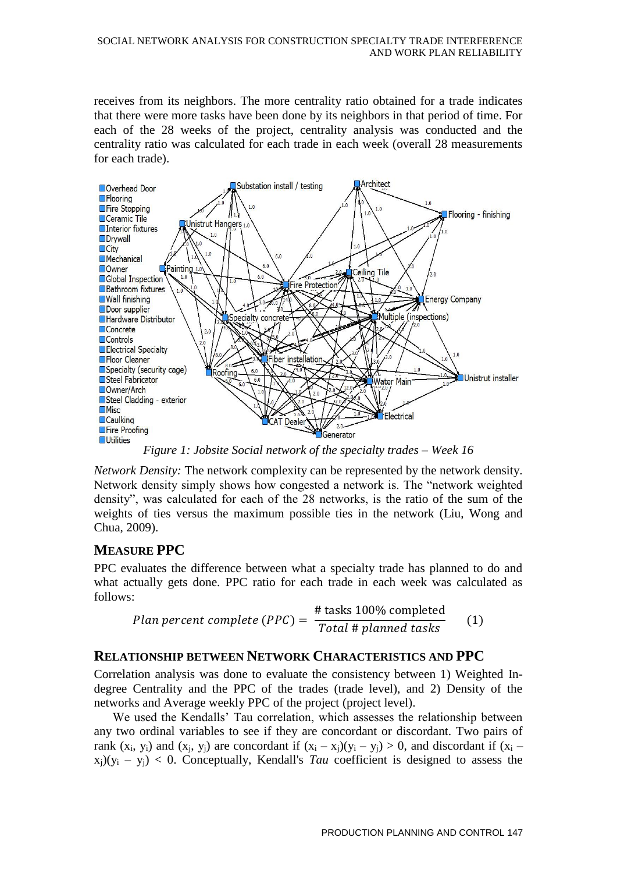receives from its neighbors. The more centrality ratio obtained for a trade indicates that there were more tasks have been done by its neighbors in that period of time. For each of the 28 weeks of the project, centrality analysis was conducted and the centrality ratio was calculated for each trade in each week (overall 28 measurements for each trade).



*Figure 1: Jobsite Social network of the specialty trades – Week 16* 

*Network Density:* The network complexity can be represented by the network density. Network density simply shows how congested a network is. The "network weighted density", was calculated for each of the 28 networks, is the ratio of the sum of the weights of ties versus the maximum possible ties in the network (Liu, Wong and Chua, 2009).

# **MEASURE PPC**

PPC evaluates the difference between what a specialty trade has planned to do and what actually gets done. PPC ratio for each trade in each week was calculated as follows:

*Plan percent complete (PPC)* = 
$$
\frac{\text{\# tasks 100\% completed}}{\text{Total \# planned tasks}}
$$
 (1)

# **RELATIONSHIP BETWEEN NETWORK CHARACTERISTICS AND PPC**

Correlation analysis was done to evaluate the consistency between 1) Weighted Indegree Centrality and the PPC of the trades (trade level), and 2) Density of the networks and Average weekly PPC of the project (project level).

We used the Kendalls' Tau correlation, which assesses the relationship between any two ordinal variables to see if they are concordant or discordant. Two pairs of rank  $(x_i, y_i)$  and  $(x_i, y_j)$  are concordant if  $(x_i - x_j)(y_i - y_j) > 0$ , and discordant if  $(x_i - x_j)(y_i - y_j)$  $x_j$ )( $y_i - y_j$ ) < 0. Conceptually, Kendall's *Tau* coefficient is designed to assess the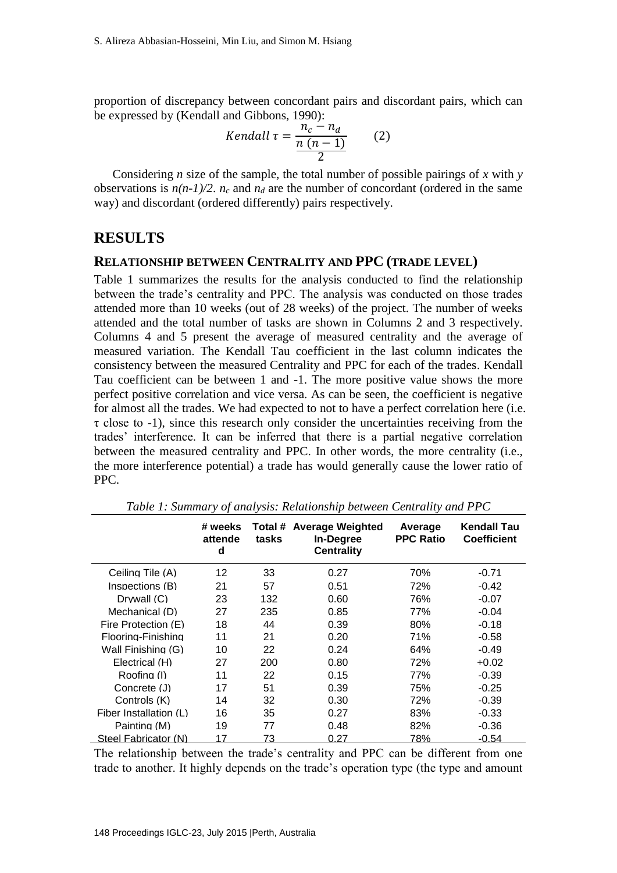proportion of discrepancy between concordant pairs and discordant pairs, which can be expressed by (Kendall and Gibbons, 1990):

$$
Kendall \tau = \frac{n_c - n_d}{\frac{n(n-1)}{2}} \qquad (2)
$$

Considering *n* size of the sample, the total number of possible pairings of *x* with *y* observations is  $n(n-1)/2$ .  $n_c$  and  $n_d$  are the number of concordant (ordered in the same way) and discordant (ordered differently) pairs respectively.

### **RESULTS**

#### **RELATIONSHIP BETWEEN CENTRALITY AND PPC (TRADE LEVEL)**

Table 1 summarizes the results for the analysis conducted to find the relationship between the trade's centrality and PPC. The analysis was conducted on those trades attended more than 10 weeks (out of 28 weeks) of the project. The number of weeks attended and the total number of tasks are shown in Columns 2 and 3 respectively. Columns 4 and 5 present the average of measured centrality and the average of measured variation. The Kendall Tau coefficient in the last column indicates the consistency between the measured Centrality and PPC for each of the trades. Kendall Tau coefficient can be between 1 and -1. The more positive value shows the more perfect positive correlation and vice versa. As can be seen, the coefficient is negative for almost all the trades. We had expected to not to have a perfect correlation here (i.e.  $\tau$  close to -1), since this research only consider the uncertainties receiving from the trades' interference. It can be inferred that there is a partial negative correlation between the measured centrality and PPC. In other words, the more centrality (i.e., the more interference potential) a trade has would generally cause the lower ratio of PPC.

|                          | # weeks<br>attende<br>d | tasks | Total # Average Weighted<br>In-Degree<br><b>Centrality</b> | Average<br><b>PPC Ratio</b> | <b>Kendall Tau</b><br><b>Coefficient</b> |
|--------------------------|-------------------------|-------|------------------------------------------------------------|-----------------------------|------------------------------------------|
| Ceiling Tile (A)         | 12                      | 33    | 0.27                                                       | 70%                         | -0.71                                    |
| Inspections (B)          | 21                      | 57    | 0.51                                                       | 72%                         | $-0.42$                                  |
| Drywall (C)              | 23                      | 132   | 0.60                                                       | 76%                         | $-0.07$                                  |
| Mechanical (D)           | 27                      | 235   | 0.85                                                       | 77%                         | $-0.04$                                  |
| Fire Protection (E)      | 18                      | 44    | 0.39                                                       | 80%                         | $-0.18$                                  |
| Flooring-Finishing       | 11                      | 21    | 0.20                                                       | 71%                         | $-0.58$                                  |
| Wall Finishing (G)       | 10                      | 22    | 0.24                                                       | 64%                         | $-0.49$                                  |
| Electrical (H)           | 27                      | 200   | 0.80                                                       | 72%                         | $+0.02$                                  |
| Roofing (I)              | 11                      | 22    | 0.15                                                       | 77%                         | $-0.39$                                  |
| Concrete (J)             | 17                      | 51    | 0.39                                                       | 75%                         | $-0.25$                                  |
| Controls (K)             | 14                      | 32    | 0.30                                                       | 72%                         | $-0.39$                                  |
| Fiber Installation $(L)$ | 16                      | 35    | 0.27                                                       | 83%                         | $-0.33$                                  |
| Painting (M)             | 19                      | 77    | 0.48                                                       | 82%                         | -0.36                                    |
| Steel Fabricator (N)     | 17                      | 73    | 0.27                                                       | 78%                         | $-0.54$                                  |

*Table 1: Summary of analysis: Relationship between Centrality and PPC* 

The relationship between the trade's centrality and PPC can be different from one trade to another. It highly depends on the trade's operation type (the type and amount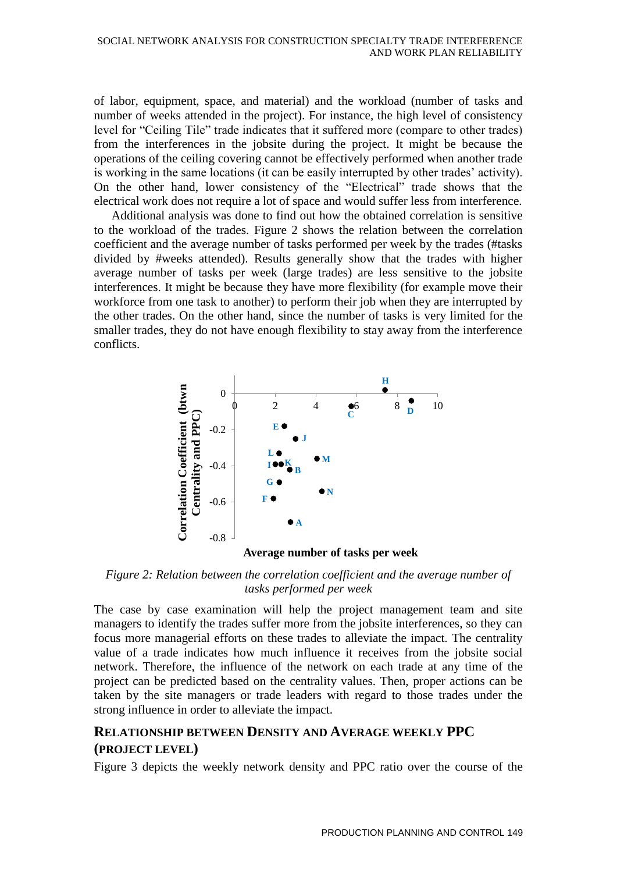of labor, equipment, space, and material) and the workload (number of tasks and number of weeks attended in the project). For instance, the high level of consistency level for "Ceiling Tile" trade indicates that it suffered more (compare to other trades) from the interferences in the jobsite during the project. It might be because the operations of the ceiling covering cannot be effectively performed when another trade is working in the same locations (it can be easily interrupted by other trades' activity). On the other hand, lower consistency of the "Electrical" trade shows that the electrical work does not require a lot of space and would suffer less from interference.

Additional analysis was done to find out how the obtained correlation is sensitive to the workload of the trades. Figure 2 shows the relation between the correlation coefficient and the average number of tasks performed per week by the trades (#tasks divided by #weeks attended). Results generally show that the trades with higher average number of tasks per week (large trades) are less sensitive to the jobsite interferences. It might be because they have more flexibility (for example move their workforce from one task to another) to perform their job when they are interrupted by the other trades. On the other hand, since the number of tasks is very limited for the smaller trades, they do not have enough flexibility to stay away from the interference conflicts.



**Average number of tasks per week**

*Figure 2: Relation between the correlation coefficient and the average number of tasks performed per week* 

The case by case examination will help the project management team and site managers to identify the trades suffer more from the jobsite interferences, so they can focus more managerial efforts on these trades to alleviate the impact. The centrality value of a trade indicates how much influence it receives from the jobsite social network. Therefore, the influence of the network on each trade at any time of the project can be predicted based on the centrality values. Then, proper actions can be taken by the site managers or trade leaders with regard to those trades under the strong influence in order to alleviate the impact.

## **RELATIONSHIP BETWEEN DENSITY AND AVERAGE WEEKLY PPC (PROJECT LEVEL)**

Figure 3 depicts the weekly network density and PPC ratio over the course of the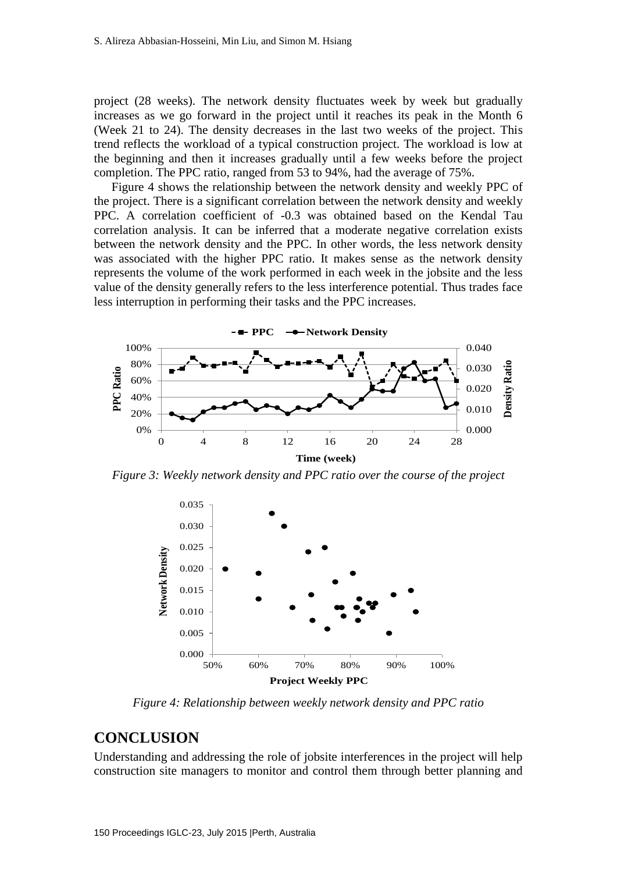project (28 weeks). The network density fluctuates week by week but gradually increases as we go forward in the project until it reaches its peak in the Month 6 (Week 21 to 24). The density decreases in the last two weeks of the project. This trend reflects the workload of a typical construction project. The workload is low at the beginning and then it increases gradually until a few weeks before the project completion. The PPC ratio, ranged from 53 to 94%, had the average of 75%.

Figure 4 shows the relationship between the network density and weekly PPC of the project. There is a significant correlation between the network density and weekly PPC. A correlation coefficient of -0.3 was obtained based on the Kendal Tau correlation analysis. It can be inferred that a moderate negative correlation exists between the network density and the PPC. In other words, the less network density was associated with the higher PPC ratio. It makes sense as the network density represents the volume of the work performed in each week in the jobsite and the less value of the density generally refers to the less interference potential. Thus trades face less interruption in performing their tasks and the PPC increases.



*Figure 3: Weekly network density and PPC ratio over the course of the project* 



*Figure 4: Relationship between weekly network density and PPC ratio* 

### **CONCLUSION**

Understanding and addressing the role of jobsite interferences in the project will help construction site managers to monitor and control them through better planning and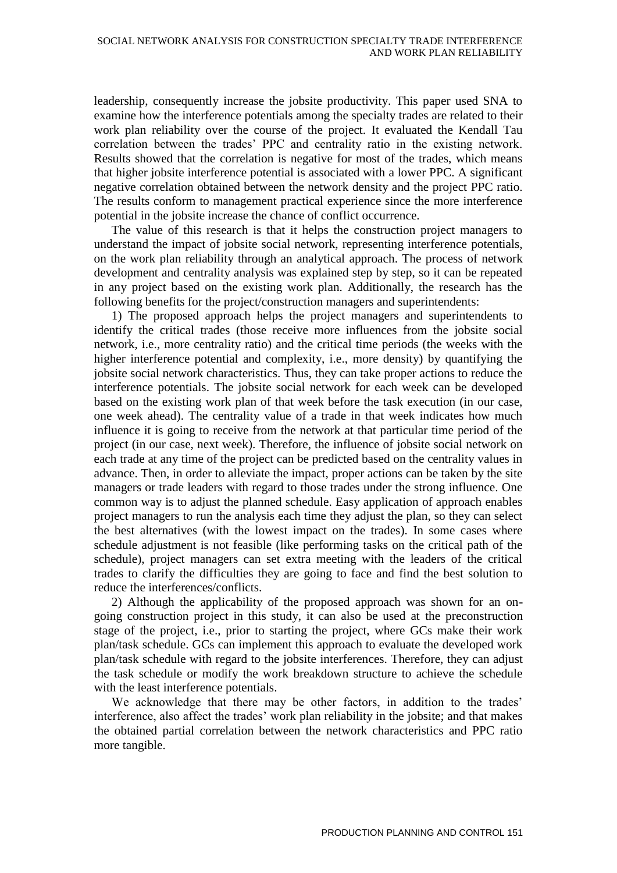leadership, consequently increase the jobsite productivity. This paper used SNA to examine how the interference potentials among the specialty trades are related to their work plan reliability over the course of the project. It evaluated the Kendall Tau correlation between the trades' PPC and centrality ratio in the existing network. Results showed that the correlation is negative for most of the trades, which means that higher jobsite interference potential is associated with a lower PPC. A significant negative correlation obtained between the network density and the project PPC ratio. The results conform to management practical experience since the more interference potential in the jobsite increase the chance of conflict occurrence.

The value of this research is that it helps the construction project managers to understand the impact of jobsite social network, representing interference potentials, on the work plan reliability through an analytical approach. The process of network development and centrality analysis was explained step by step, so it can be repeated in any project based on the existing work plan. Additionally, the research has the following benefits for the project/construction managers and superintendents:

1) The proposed approach helps the project managers and superintendents to identify the critical trades (those receive more influences from the jobsite social network, i.e., more centrality ratio) and the critical time periods (the weeks with the higher interference potential and complexity, i.e., more density) by quantifying the jobsite social network characteristics. Thus, they can take proper actions to reduce the interference potentials. The jobsite social network for each week can be developed based on the existing work plan of that week before the task execution (in our case, one week ahead). The centrality value of a trade in that week indicates how much influence it is going to receive from the network at that particular time period of the project (in our case, next week). Therefore, the influence of jobsite social network on each trade at any time of the project can be predicted based on the centrality values in advance. Then, in order to alleviate the impact, proper actions can be taken by the site managers or trade leaders with regard to those trades under the strong influence. One common way is to adjust the planned schedule. Easy application of approach enables project managers to run the analysis each time they adjust the plan, so they can select the best alternatives (with the lowest impact on the trades). In some cases where schedule adjustment is not feasible (like performing tasks on the critical path of the schedule), project managers can set extra meeting with the leaders of the critical trades to clarify the difficulties they are going to face and find the best solution to reduce the interferences/conflicts.

2) Although the applicability of the proposed approach was shown for an ongoing construction project in this study, it can also be used at the preconstruction stage of the project, i.e., prior to starting the project, where GCs make their work plan/task schedule. GCs can implement this approach to evaluate the developed work plan/task schedule with regard to the jobsite interferences. Therefore, they can adjust the task schedule or modify the work breakdown structure to achieve the schedule with the least interference potentials.

We acknowledge that there may be other factors, in addition to the trades' interference, also affect the trades' work plan reliability in the jobsite; and that makes the obtained partial correlation between the network characteristics and PPC ratio more tangible.